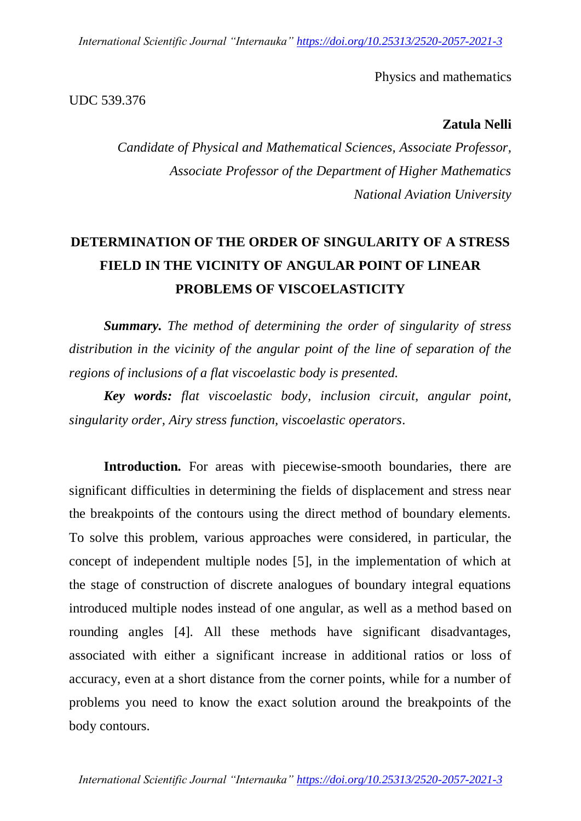*International Scientific Journal "Internauka" https://doi.org/10.25313/2520-2057-2021-3*

Physics and mathematics

UDC 539.376

**Zatula Nelli**

*Candidate of Physical and Mathematical Sciences, Associate Professor, Associate Professor of the Department of Higher Mathematics National Aviation University*

## **DETERMINATION OF THE ORDER OF SINGULARITY OF A STRESS FIELD IN THE VICINITY OF ANGULAR POINT OF LINEAR PROBLEMS OF VISCOELASTICITY**

*Summary. The method of determining the order of singularity of stress distribution in the vicinity of the angular point of the line of separation of the regions of inclusions of a flat viscoelastic body is presented.*

*Key words: flat viscoelastic body, inclusion circuit, angular point, singularity order, Airy stress function, viscoelastic operators.*

**Introduction.** For areas with piecewise-smooth boundaries, there are significant difficulties in determining the fields of displacement and stress near the breakpoints of the contours using the direct method of boundary elements. To solve this problem, various approaches were considered, in particular, the concept of independent multiple nodes [5], in the implementation of which at the stage of construction of discrete analogues of boundary integral equations introduced multiple nodes instead of one angular, as well as a method based on rounding angles [4]. All these methods have significant disadvantages, associated with either a significant increase in additional ratios or loss of accuracy, even at a short distance from the corner points, while for a number of problems you need to know the exact solution around the breakpoints of the body contours.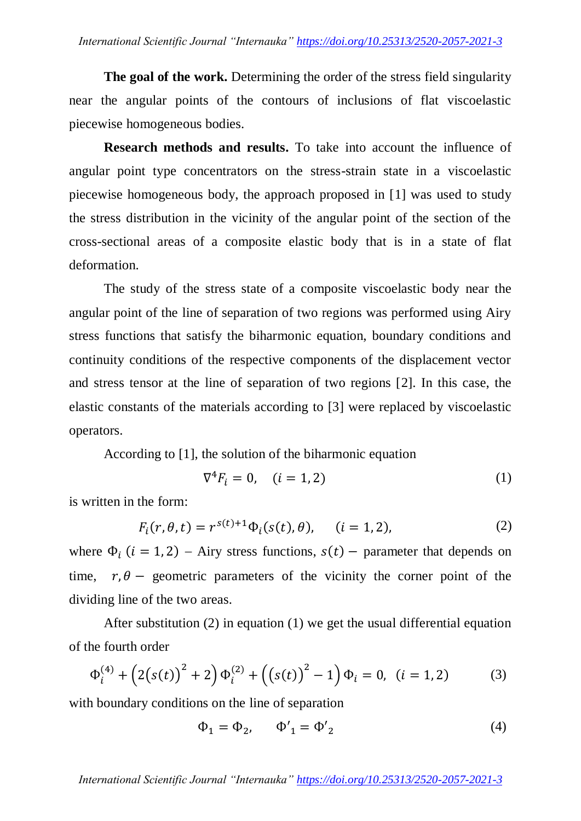**The goal of the work.** Determining the order of the stress field singularity near the angular points of the contours of inclusions of flat viscoelastic piecewise homogeneous bodies.

**Research methods and results.** To take into account the influence of angular point type concentrators on the stress-strain state in a viscoelastic piecewise homogeneous body, the approach proposed in [1] was used to study the stress distribution in the vicinity of the angular point of the section of the cross-sectional areas of a composite elastic body that is in a state of flat deformation.

The study of the stress state of a composite viscoelastic body near the angular point of the line of separation of two regions was performed using Airy stress functions that satisfy the biharmonic equation, boundary conditions and continuity conditions of the respective components of the displacement vector and stress tensor at the line of separation of two regions [2]. In this case, the elastic constants of the materials according to [3] were replaced by viscoelastic operators.

According to [1], the solution of the biharmonic equation

$$
\nabla^4 F_i = 0, \quad (i = 1, 2) \tag{1}
$$

is written in the form:

$$
F_i(r, \theta, t) = r^{s(t)+1} \Phi_i(s(t), \theta), \quad (i = 1, 2),
$$
 (2)

where  $\Phi_i$  (*i* = 1, 2) – Airy stress functions,  $s(t)$  – parameter that depends on time,  $r, \theta$  – geometric parameters of the vicinity the corner point of the dividing line of the two areas.

After substitution (2) in equation (1) we get the usual differential equation of the fourth order

$$
\Phi_i^{(4)} + (2(s(t))^{2} + 2)\Phi_i^{(2)} + ((s(t))^{2} - 1)\Phi_i = 0, \ (i = 1, 2)
$$
 (3)

with boundary conditions on the line of separation

$$
\Phi_1 = \Phi_2, \qquad \Phi'_1 = \Phi'_2 \tag{4}
$$

*International Scientific Journal "Internauka" https://doi.org/10.25313/2520-2057-2021-3*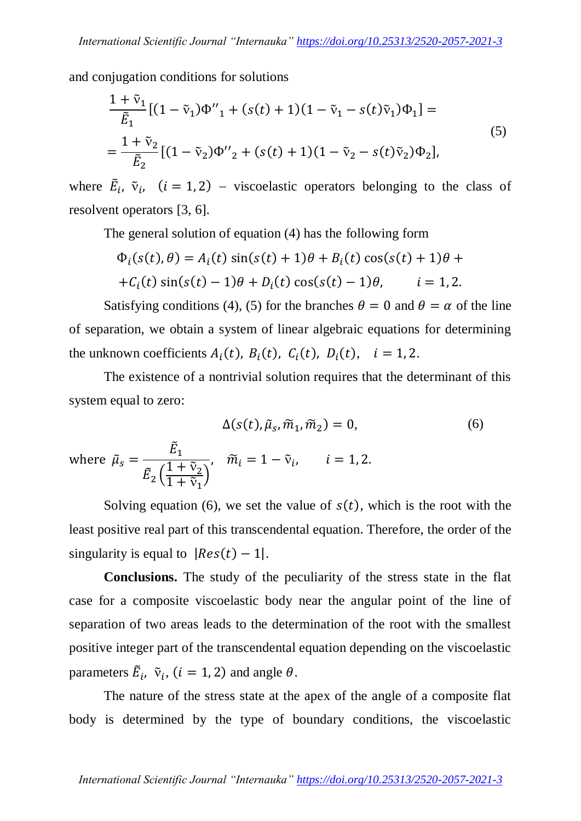and conjugation conditions for solutions

$$
\frac{1+\tilde{v}_1}{\tilde{E}_1} [(1-\tilde{v}_1)\Phi_{11}^{\prime\prime} + (s(t)+1)(1-\tilde{v}_1 - s(t)\tilde{v}_1)\Phi_1] =
$$
\n
$$
= \frac{1+\tilde{v}_2}{\tilde{E}_2} [(1-\tilde{v}_2)\Phi_{21}^{\prime\prime} + (s(t)+1)(1-\tilde{v}_2 - s(t)\tilde{v}_2)\Phi_2],
$$
\n(5)

where  $\tilde{E}_i$ ,  $\tilde{v}_i$ ,  $(i = 1, 2)$  – viscoelastic operators belonging to the class of resolvent operators [3, 6].

The general solution of equation (4) has the following form

$$
\Phi_i(s(t), \theta) = A_i(t) \sin(s(t) + 1)\theta + B_i(t) \cos(s(t) + 1)\theta + C_i(t) \sin(s(t) - 1)\theta + D_i(t) \cos(s(t) - 1)\theta, \qquad i = 1, 2.
$$

Satisfying conditions (4), (5) for the branches  $\theta = 0$  and  $\theta = \alpha$  of the line of separation, we obtain a system of linear algebraic equations for determining the unknown coefficients  $A_i(t)$ ,  $B_i(t)$ ,  $C_i(t)$ ,  $D_i(t)$ ,  $i = 1, 2$ .

The existence of a nontrivial solution requires that the determinant of this system equal to zero:

$$
\Delta(s(t), \tilde{\mu}_s, \tilde{m}_1, \tilde{m}_2) = 0, \tag{6}
$$

where  $\tilde{\mu}_{\scriptscriptstyle S}$  $\tilde{E}_1$  $\tilde{E}_2\Big($  $1+\tilde{v}_2$  $\frac{1 + v_2}{1 + \tilde{v}_1}$ ,  $\widetilde{m}_i = 1 - \widetilde{v}_i$ ,

Solving equation (6), we set the value of  $s(t)$ , which is the root with the least positive real part of this transcendental equation Therefore, the order of the singularity is equal to  $|Res(t) - 1|$ .

**Conclusions.** The study of the peculiarity of the stress state in the flat case for a composite viscoelastic body near the angular point of the line of separation of two areas leads to the determination of the root with the smallest positive integer part of the transcendental equation depending on the viscoelastic parameters  $\tilde{E}_i$ ,  $\tilde{v}_i$ ,  $(i = 1, 2)$  and angle  $\theta$ .

The nature of the stress state at the apex of the angle of a composite flat body is determined by the type of boundary conditions, the viscoelastic